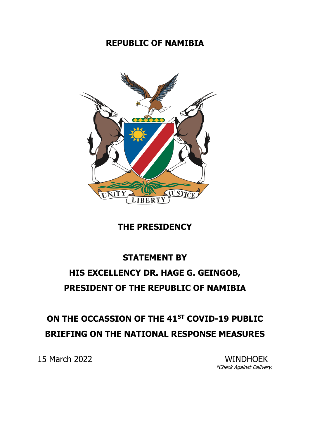## **REPUBLIC OF NAMIBIA**



## **THE PRESIDENCY**

## **STATEMENT BY HIS EXCELLENCY DR. HAGE G. GEINGOB, PRESIDENT OF THE REPUBLIC OF NAMIBIA**

## **ON THE OCCASSION OF THE 41ST COVID-19 PUBLIC BRIEFING ON THE NATIONAL RESPONSE MEASURES**

15 March 2022 WINDHOEK

\*Check Against Delivery.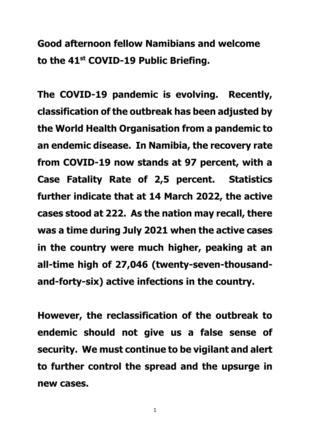**Good afternoon fellow Namibians and welcome to the 41st COVID-19 Public Briefing.** 

**The COVID-19 pandemic is evolving. Recently, classification of the outbreak has been adjusted by the World Health Organisation from a pandemic to an endemic disease. In Namibia, the recovery rate from COVID-19 now stands at 97 percent, with a Case Fatality Rate of 2,5 percent. Statistics further indicate that at 14 March 2022, the active cases stood at 222. As the nation may recall, there was a time during July 2021 when the active cases in the country were much higher, peaking at an all-time high of 27,046 (twenty-seven-thousandand-forty-six) active infections in the country.** 

**However, the reclassification of the outbreak to endemic should not give us a false sense of security. We must continue to be vigilant and alert to further control the spread and the upsurge in new cases.**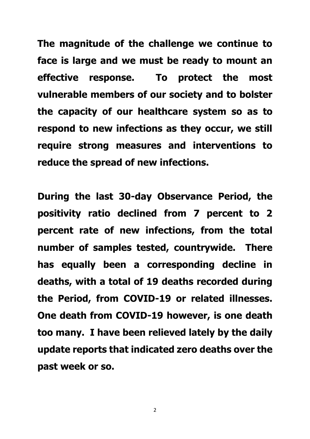**The magnitude of the challenge we continue to face is large and we must be ready to mount an effective response. To protect the most vulnerable members of our society and to bolster the capacity of our healthcare system so as to respond to new infections as they occur, we still require strong measures and interventions to reduce the spread of new infections.** 

**During the last 30-day Observance Period, the positivity ratio declined from 7 percent to 2 percent rate of new infections, from the total number of samples tested, countrywide. There has equally been a corresponding decline in deaths, with a total of 19 deaths recorded during the Period, from COVID-19 or related illnesses. One death from COVID-19 however, is one death too many. I have been relieved lately by the daily update reports that indicated zero deaths over the past week or so.**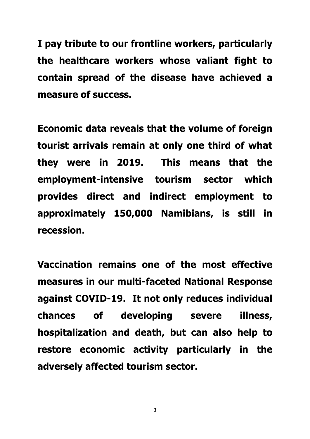**I pay tribute to our frontline workers, particularly the healthcare workers whose valiant fight to contain spread of the disease have achieved a measure of success.** 

**Economic data reveals that the volume of foreign tourist arrivals remain at only one third of what they were in 2019. This means that the employment-intensive tourism sector which provides direct and indirect employment to approximately 150,000 Namibians, is still in recession.** 

**Vaccination remains one of the most effective measures in our multi-faceted National Response against COVID-19. It not only reduces individual chances of developing severe illness, hospitalization and death, but can also help to restore economic activity particularly in the adversely affected tourism sector.** 

3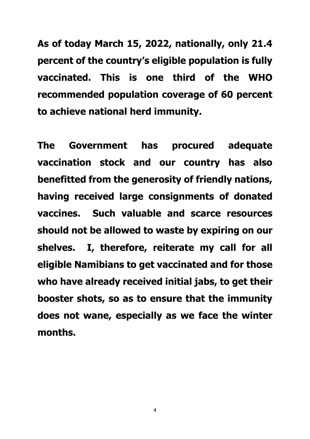**As of today March 15, 2022, nationally, only 21.4 percent of the country's eligible population is fully vaccinated. This is one third of the WHO recommended population coverage of 60 percent to achieve national herd immunity.** 

**The Government has procured adequate vaccination stock and our country has also benefitted from the generosity of friendly nations, having received large consignments of donated vaccines. Such valuable and scarce resources should not be allowed to waste by expiring on our shelves. I, therefore, reiterate my call for all eligible Namibians to get vaccinated and for those who have already received initial jabs, to get their booster shots, so as to ensure that the immunity does not wane, especially as we face the winter months.** 

4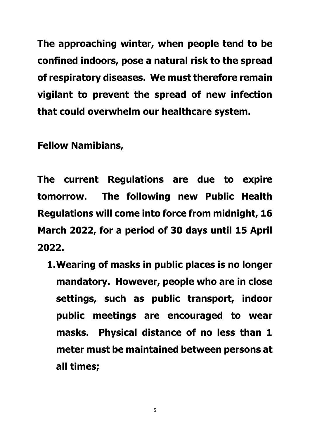**The approaching winter, when people tend to be confined indoors, pose a natural risk to the spread of respiratory diseases. We must therefore remain vigilant to prevent the spread of new infection that could overwhelm our healthcare system.** 

**Fellow Namibians,**

**The current Regulations are due to expire tomorrow. The following new Public Health Regulations will come into force from midnight, 16 March 2022, for a period of 30 days until 15 April 2022.** 

**1.Wearing of masks in public places is no longer mandatory. However, people who are in close settings, such as public transport, indoor public meetings are encouraged to wear masks. Physical distance of no less than 1 meter must be maintained between persons at all times;**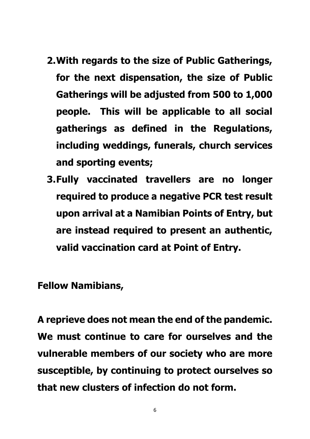- **2.With regards to the size of Public Gatherings, for the next dispensation, the size of Public Gatherings will be adjusted from 500 to 1,000 people. This will be applicable to all social gatherings as defined in the Regulations, including weddings, funerals, church services and sporting events;**
- **3.Fully vaccinated travellers are no longer required to produce a negative PCR test result upon arrival at a Namibian Points of Entry, but are instead required to present an authentic, valid vaccination card at Point of Entry.**

**Fellow Namibians,**

**A reprieve does not mean the end of the pandemic. We must continue to care for ourselves and the vulnerable members of our society who are more susceptible, by continuing to protect ourselves so that new clusters of infection do not form.** 

6